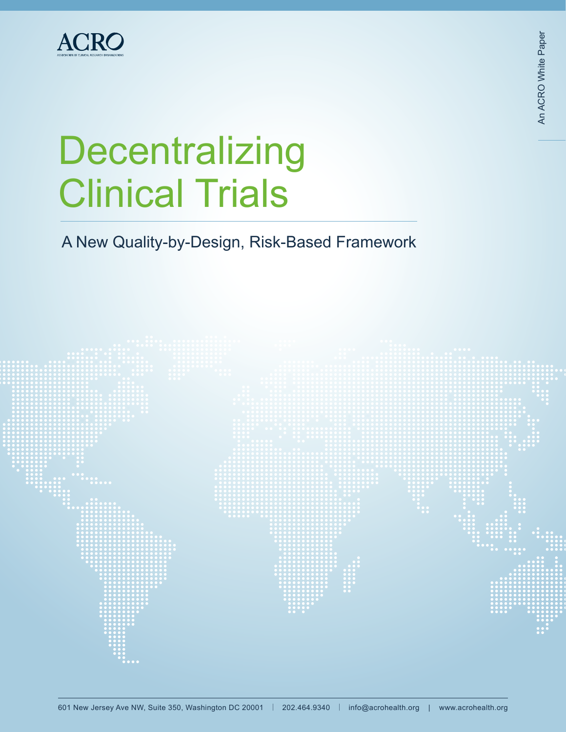

# **Decentralizing** Clinical Trials

A New Quality-by-Design, Risk-Based Framework

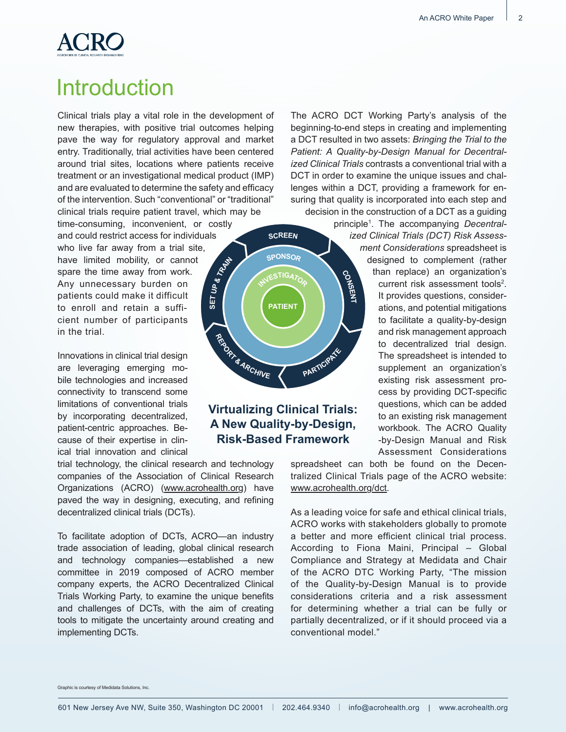

# Introduction

Clinical trials play a vital role in the development of new therapies, with positive trial outcomes helping pave the way for regulatory approval and market entry. Traditionally, trial activities have been centered around trial sites, locations where patients receive treatment or an investigational medical product (IMP) and are evaluated to determine the safety and efficacy of the intervention. Such "conventional" or "traditional" clinical trials require patient travel, which may be

**SET**

**UP** & TRAVE

time-consuming, inconvenient, or costly and could restrict access for individuals who live far away from a trial site, have limited mobility, or cannot spare the time away from work. Any unnecessary burden on patients could make it difficult to enroll and retain a sufficient number of participants in the trial. **<sup>R</sup>EPOR<sup>T</sup> & <sup>A</sup>RCHIV<sup>E</sup>**

Innovations in clinical trial design are leveraging emerging mobile technologies and increased connectivity to transcend some limitations of conventional trials by incorporating decentralized, patient-centric approaches. Because of their expertise in clinical trial innovation and clinical

trial technology, the clinical research and technology companies of the Association of Clinical Research Organizations (ACRO) (www.acrohealth.org) have paved the way in designing, executing, and refining decentralized clinical trials (DCTs).

To facilitate adoption of DCTs, ACRO—an industry trade association of leading, global clinical research and technology companies—established a new committee in 2019 composed of ACRO member company experts, the ACRO Decentralized Clinical Trials Working Party, to examine the unique benefits and challenges of DCTs, with the aim of creating tools to mitigate the uncertainty around creating and implementing DCTs.

The ACRO DCT Working Party's analysis of the beginning-to-end steps in creating and implementing a DCT resulted in two assets: *Bringing the Trial to the Patient: A Quality-by-Design Manual for Decentralized Clinical Trials* contrasts a conventional trial with a DCT in order to examine the unique issues and challenges within a DCT, providing a framework for ensuring that quality is incorporated into each step and decision in the construction of a DCT as a guiding

principle1 . The accompanying *Decentralized Clinical Trials (DCT) Risk Assessment Considerations* spreadsheet is designed to complement (rather than replace) an organization's current risk assessment tools<sup>2</sup>. It provides questions, considerations, and potential mitigations to facilitate a quality-by-design and risk management approach to decentralized trial design. The spreadsheet is intended to supplement an organization's existing risk assessment process by providing DCT-specific questions, which can be added to an existing risk management workbook. The ACRO Quality -by-Design Manual and Risk Assessment Considerations

spreadsheet can both be found on the Decentralized Clinical Trials page of the ACRO website: www.acrohealth.org/dct.

As a leading voice for safe and ethical clinical trials, ACRO works with stakeholders globally to promote a better and more efficient clinical trial process. According to Fiona Maini, Principal – Global Compliance and Strategy at Medidata and Chair of the ACRO DTC Working Party, "The mission of the Quality-by-Design Manual is to provide considerations criteria and a risk assessment for determining whether a trial can be fully or partially decentralized, or if it should proceed via a conventional model."

Graphic is courtesy of Medidata Solutions, Inc.

**PARTIC<sup>I</sup>PAT<sup>E</sup>**

C<sub>O</sub>NSENT

**SCREEN**

**SPONSOR**

 $E$ **STIGA** $\gamma$ <sup>O</sup>

**PATIENT**

**Virtualizing Clinical Trials: A New Quality-by-Design, Risk-Based Framework**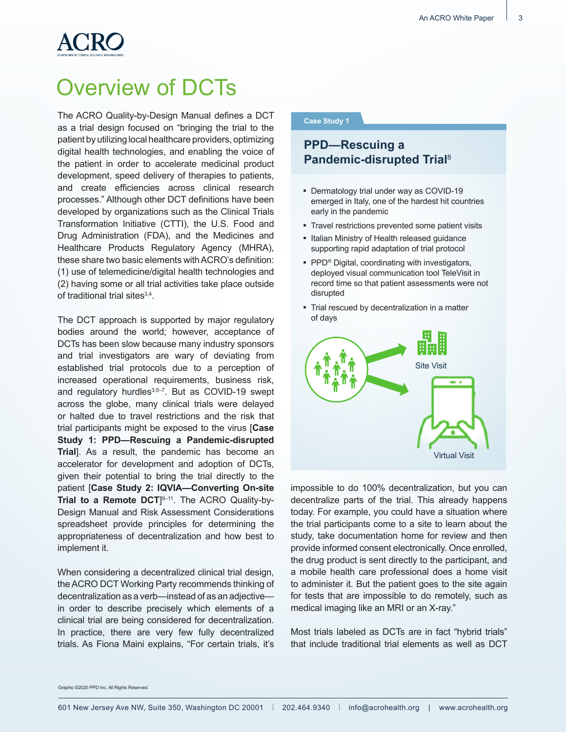# Overview of DCTs

The ACRO Quality-by-Design Manual defines a DCT as a trial design focused on "bringing the trial to the patient by utilizing local healthcare providers, optimizing digital health technologies, and enabling the voice of the patient in order to accelerate medicinal product development, speed delivery of therapies to patients, and create efficiencies across clinical research processes." Although other DCT definitions have been developed by organizations such as the Clinical Trials Transformation Initiative (CTTI), the U.S. Food and Drug Administration (FDA), and the Medicines and Healthcare Products Regulatory Agency (MHRA), these share two basic elements with ACRO's definition: (1) use of telemedicine/digital health technologies and (2) having some or all trial activities take place outside of traditional trial sites<sup>3,4</sup>.

The DCT approach is supported by major regulatory bodies around the world; however, acceptance of DCTs has been slow because many industry sponsors and trial investigators are wary of deviating from established trial protocols due to a perception of increased operational requirements, business risk, and regulatory hurdles<sup>3,5-7</sup>. But as COVID-19 swept across the globe, many clinical trials were delayed or halted due to travel restrictions and the risk that trial participants might be exposed to the virus [**Case Study 1: PPD—Rescuing a Pandemic-disrupted Trial**]. As a result, the pandemic has become an accelerator for development and adoption of DCTs, given their potential to bring the trial directly to the patient [**Case Study 2: IQVIA—Converting On-site Trial to a Remote DCT**] 9–11. The ACRO Quality-by-Design Manual and Risk Assessment Considerations spreadsheet provide principles for determining the appropriateness of decentralization and how best to implement it.

When considering a decentralized clinical trial design, the ACRO DCT Working Party recommends thinking of decentralization as a verb—instead of as an adjective in order to describe precisely which elements of a clinical trial are being considered for decentralization. In practice, there are very few fully decentralized trials. As Fiona Maini explains, "For certain trials, it's

#### **Case Study 1**

# **PPD—Rescuing a Pandemic-disrupted Trial**<sup>8</sup>

- Dermatology trial under way as COVID-19 emerged in Italy, one of the hardest hit countries early in the pandemic
- Travel restrictions prevented some patient visits
- Italian Ministry of Health released guidance supporting rapid adaptation of trial protocol
- $\blacksquare$  PPD<sup>®</sup> Digital, coordinating with investigators, deployed visual communication tool TeleVisit in record time so that patient assessments were not disrupted
- Trial rescued by decentralization in a matter of days



impossible to do 100% decentralization, but you can decentralize parts of the trial. This already happens today. For example, you could have a situation where the trial participants come to a site to learn about the study, take documentation home for review and then provide informed consent electronically. Once enrolled, the drug product is sent directly to the participant, and a mobile health care professional does a home visit to administer it. But the patient goes to the site again for tests that are impossible to do remotely, such as medical imaging like an MRI or an X-ray."

Most trials labeled as DCTs are in fact "hybrid trials" that include traditional trial elements as well as DCT

Graphic ©2020 PPD Inc. All Rights Reserved.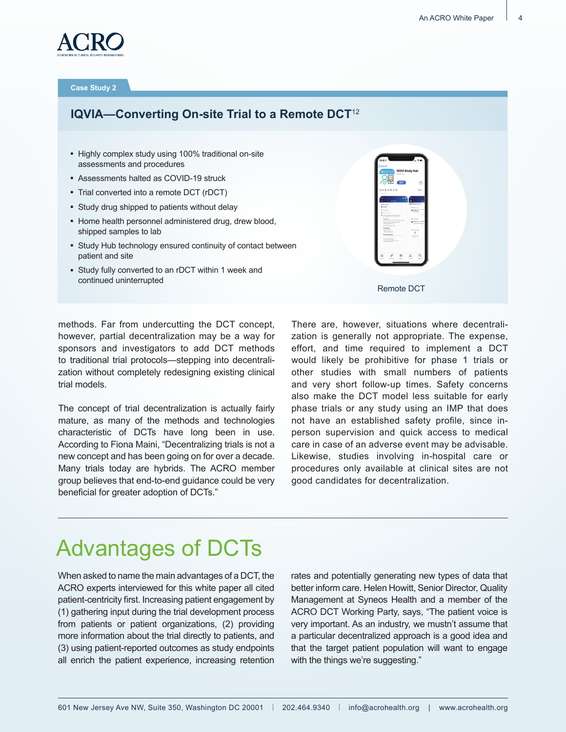

#### **Case Study 2**

# **IQVIA—Converting On-site Trial to a Remote DCT**<sup>12</sup>

- Highly complex study using 100% traditional on-site assessments and procedures
- Assessments halted as COVID-19 struck
- Trial converted into a remote DCT (rDCT)
- **EXTERN Study drug shipped to patients without delay**
- Home health personnel administered drug, drew blood, shipped samples to lab
- **EXECUTE:** Study Hub technology ensured continuity of contact between patient and site
- **-** Study fully converted to an rDCT within 1 week and continued uninterrupted

| $5.0$ * * * * *          |        |   |
|--------------------------|--------|---|
|                          | $12 -$ |   |
|                          |        |   |
|                          |        |   |
| <b><i>Rid Davise</i></b> |        |   |
| <b>Ballion</b>           |        |   |
|                          |        |   |
|                          |        | Q |

methods. Far from undercutting the DCT concept, however, partial decentralization may be a way for sponsors and investigators to add DCT methods to traditional trial protocols—stepping into decentralization without completely redesigning existing clinical trial models.

The concept of trial decentralization is actually fairly mature, as many of the methods and technologies characteristic of DCTs have long been in use. According to Fiona Maini, "Decentralizing trials is not a new concept and has been going on for over a decade. Many trials today are hybrids. The ACRO member group believes that end-to-end guidance could be very beneficial for greater adoption of DCTs."

There are, however, situations where decentralization is generally not appropriate. The expense, effort, and time required to implement a DCT would likely be prohibitive for phase 1 trials or other studies with small numbers of patients and very short follow-up times. Safety concerns also make the DCT model less suitable for early phase trials or any study using an IMP that does not have an established safety profile, since inperson supervision and quick access to medical care in case of an adverse event may be advisable. Likewise, studies involving in-hospital care or procedures only available at clinical sites are not good candidates for decentralization.

# Advantages of DCTs

When asked to name the main advantages of a DCT, the ACRO experts interviewed for this white paper all cited patient-centricity first. Increasing patient engagement by (1) gathering input during the trial development process from patients or patient organizations, (2) providing more information about the trial directly to patients, and (3) using patient-reported outcomes as study endpoints all enrich the patient experience, increasing retention

rates and potentially generating new types of data that better inform care. Helen Howitt, Senior Director, Quality Management at Syneos Health and a member of the ACRO DCT Working Party, says, "The patient voice is very important. As an industry, we mustn't assume that a particular decentralized approach is a good idea and that the target patient population will want to engage with the things we're suggesting."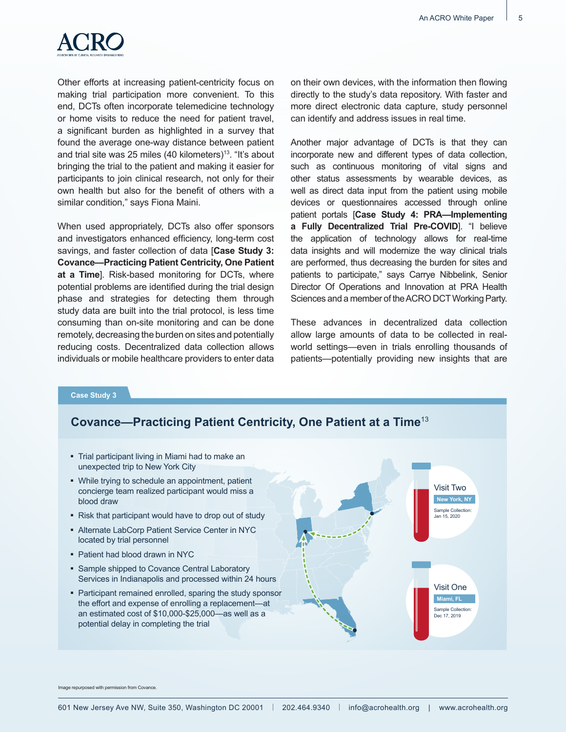

Other efforts at increasing patient-centricity focus on making trial participation more convenient. To this end, DCTs often incorporate telemedicine technology or home visits to reduce the need for patient travel, a significant burden as highlighted in a survey that found the average one-way distance between patient and trial site was 25 miles (40 kilometers)<sup>13</sup>. "It's about bringing the trial to the patient and making it easier for participants to join clinical research, not only for their own health but also for the benefit of others with a similar condition," says Fiona Maini.

When used appropriately, DCTs also offer sponsors and investigators enhanced efficiency, long-term cost savings, and faster collection of data [**Case Study 3: Covance—Practicing Patient Centricity, One Patient at a Time**]. Risk-based monitoring for DCTs, where potential problems are identified during the trial design phase and strategies for detecting them through study data are built into the trial protocol, is less time consuming than on-site monitoring and can be done remotely, decreasing the burden on sites and potentially reducing costs. Decentralized data collection allows individuals or mobile healthcare providers to enter data

on their own devices, with the information then flowing directly to the study's data repository. With faster and more direct electronic data capture, study personnel can identify and address issues in real time.

Another major advantage of DCTs is that they can incorporate new and different types of data collection, such as continuous monitoring of vital signs and other status assessments by wearable devices, as well as direct data input from the patient using mobile devices or questionnaires accessed through online patient portals [**Case Study 4: PRA—Implementing a Fully Decentralized Trial Pre-COVID**]. "I believe the application of technology allows for real-time data insights and will modernize the way clinical trials are performed, thus decreasing the burden for sites and patients to participate," says Carrye Nibbelink, Senior Director Of Operations and Innovation at PRA Health Sciences and a member of the ACRO DCT Working Party.

These advances in decentralized data collection allow large amounts of data to be collected in realworld settings—even in trials enrolling thousands of patients—potentially providing new insights that are

#### **Case Study 3**

# **Covance—Practicing Patient Centricity, One Patient at a Time**<sup>13</sup>

• Trial participant living in Miami had to make an unexpected trip to New York City

• While trying to schedule an appointment, patient concierge team realized participant would miss a blood draw

- Risk that participant would have to drop out of study
- Alternate LabCorp Patient Service Center in NYC located by trial personnel
- Patient had blood drawn in NYC
- **EXAMPLE Shipped to Covance Central Laboratory** Services in Indianapolis and processed within 24 hours
- Participant remained enrolled, sparing the study sponsor the effort and expense of enrolling a replacement—at an estimated cost of \$10,000-\$25,000—as well as a potential delay in completing the trial



Image repurposed with permission from Covance.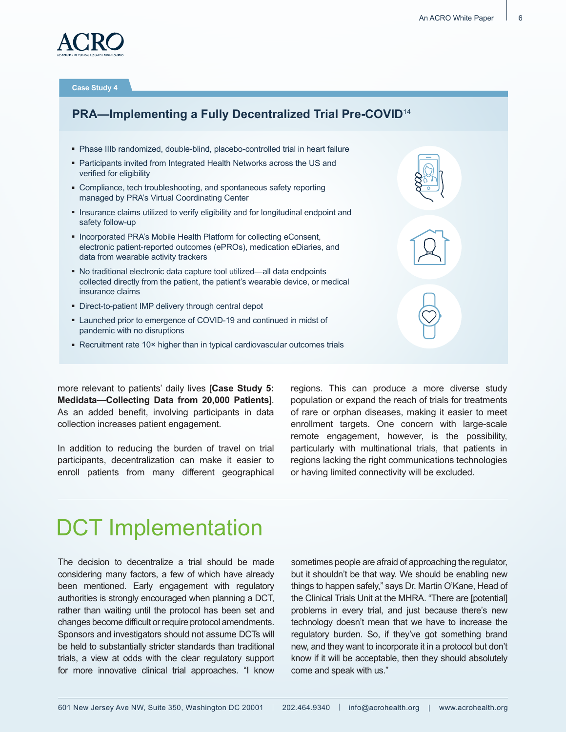

**Case Study 4**

# **PRA—Implementing a Fully Decentralized Trial Pre-COVID**<sup>14</sup>

- Phase IIIb randomized, double-blind, placebo-controlled trial in heart failure
- Participants invited from Integrated Health Networks across the US and verified for eligibility
- Compliance, tech troubleshooting, and spontaneous safety reporting managed by PRA's Virtual Coordinating Center
- Insurance claims utilized to verify eligibility and for longitudinal endpoint and safety follow-up
- Incorporated PRA's Mobile Health Platform for collecting eConsent, electronic patient-reported outcomes (ePROs), medication eDiaries, and data from wearable activity trackers
- No traditional electronic data capture tool utilized—all data endpoints collected directly from the patient, the patient's wearable device, or medical insurance claims
- **-** Direct-to-patient IMP delivery through central depot
- **Launched prior to emergence of COVID-19 and continued in midst of** pandemic with no disruptions
- Recruitment rate 10× higher than in typical cardiovascular outcomes trials

more relevant to patients' daily lives [**Case Study 5: Medidata—Collecting Data from 20,000 Patients**]. As an added benefit, involving participants in data collection increases patient engagement.

In addition to reducing the burden of travel on trial participants, decentralization can make it easier to enroll patients from many different geographical regions. This can produce a more diverse study population or expand the reach of trials for treatments of rare or orphan diseases, making it easier to meet enrollment targets. One concern with large-scale remote engagement, however, is the possibility, particularly with multinational trials, that patients in regions lacking the right communications technologies or having limited connectivity will be excluded.

# DCT Implementation

The decision to decentralize a trial should be made considering many factors, a few of which have already been mentioned. Early engagement with regulatory authorities is strongly encouraged when planning a DCT, rather than waiting until the protocol has been set and changes become difficult or require protocol amendments. Sponsors and investigators should not assume DCTs will be held to substantially stricter standards than traditional trials, a view at odds with the clear regulatory support for more innovative clinical trial approaches. "I know

sometimes people are afraid of approaching the regulator, but it shouldn't be that way. We should be enabling new things to happen safely," says Dr. Martin O'Kane, Head of the Clinical Trials Unit at the MHRA. "There are [potential] problems in every trial, and just because there's new technology doesn't mean that we have to increase the regulatory burden. So, if they've got something brand new, and they want to incorporate it in a protocol but don't know if it will be acceptable, then they should absolutely come and speak with us."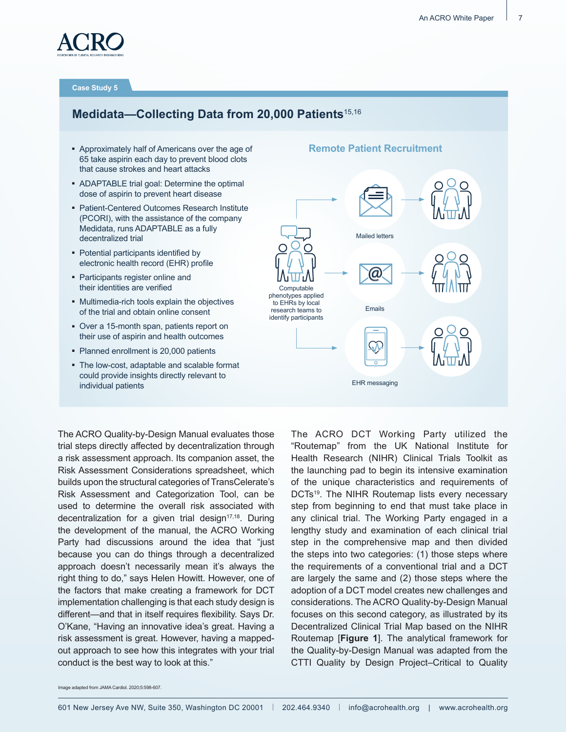

**Case Study 5**

# **Medidata—Collecting Data from 20,000 Patients**15,16

- Approximately half of Americans over the age of 65 take aspirin each day to prevent blood clots that cause strokes and heart attacks
- ADAPTABLE trial goal: Determine the optimal dose of aspirin to prevent heart disease
- Patient-Centered Outcomes Research Institute (PCORI), with the assistance of the company Medidata, runs ADAPTABLE as a fully decentralized trial
- Potential participants identified by electronic health record (EHR) profile
- Participants register online and their identities are verified
- Multimedia-rich tools explain the objectives of the trial and obtain online consent
- Over a 15-month span, patients report on their use of aspirin and health outcomes
- Planned enrollment is 20,000 patients
- The low-cost, adaptable and scalable format could provide insights directly relevant to individual patients

#### **Remote Patient Recruitment**



The ACRO Quality-by-Design Manual evaluates those trial steps directly affected by decentralization through a risk assessment approach. Its companion asset, the Risk Assessment Considerations spreadsheet, which builds upon the structural categories of TransCelerate's Risk Assessment and Categorization Tool, can be used to determine the overall risk associated with decentralization for a given trial design $17,18$ . During the development of the manual, the ACRO Working Party had discussions around the idea that "just because you can do things through a decentralized approach doesn't necessarily mean it's always the right thing to do," says Helen Howitt. However, one of the factors that make creating a framework for DCT implementation challenging is that each study design is different—and that in itself requires flexibility. Says Dr. O'Kane, "Having an innovative idea's great. Having a risk assessment is great. However, having a mappedout approach to see how this integrates with your trial conduct is the best way to look at this."

The ACRO DCT Working Party utilized the "Routemap" from the UK National Institute for Health Research (NIHR) Clinical Trials Toolkit as the launching pad to begin its intensive examination of the unique characteristics and requirements of DCTs<sup>19</sup>. The NIHR Routemap lists every necessary step from beginning to end that must take place in any clinical trial. The Working Party engaged in a lengthy study and examination of each clinical trial step in the comprehensive map and then divided the steps into two categories: (1) those steps where the requirements of a conventional trial and a DCT are largely the same and (2) those steps where the adoption of a DCT model creates new challenges and considerations. The ACRO Quality-by-Design Manual focuses on this second category, as illustrated by its Decentralized Clinical Trial Map based on the NIHR Routemap [**Figure 1**]. The analytical framework for the Quality-by-Design Manual was adapted from the CTTI Quality by Design Project–Critical to Quality

Image adapted from JAMA Cardiol. 2020;5:598-607.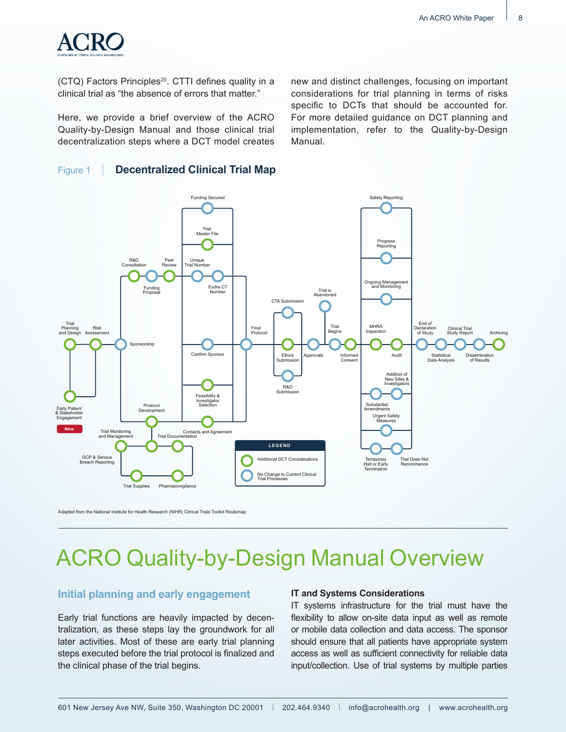

(CTQ) Factors Principles<sup>20</sup>. CTTI defines quality in a clinical trial as "the absence of errors that matter."

Here, we provide a brief overview of the ACRO Quality-by-Design Manual and those clinical trial decentralization steps where a DCT model creates

### Figure 1 | **Decentralized Clinical Trial Map**

new and distinct challenges, focusing on important considerations for trial planning in terms of risks specific to DCTs that should be accounted for. For more detailed guidance on DCT planning and implementation, refer to the Quality-by-Design Manual.



Adapted from the National Institute for Health Research (NIHR) Clinical Trials Toolkit Routemap

# ACRO Quality-by-Design Manual Overview

### **Initial planning and early engagement**

Early trial functions are heavily impacted by decentralization, as these steps lay the groundwork for all later activities. Most of these are early trial planning steps executed before the trial protocol is finalized and the clinical phase of the trial begins.

#### **IT and Systems Considerations**

IT systems infrastructure for the trial must have the flexibility to allow on-site data input as well as remote or mobile data collection and data access. The sponsor should ensure that all patients have appropriate system access as well as sufficient connectivity for reliable data input/collection. Use of trial systems by multiple parties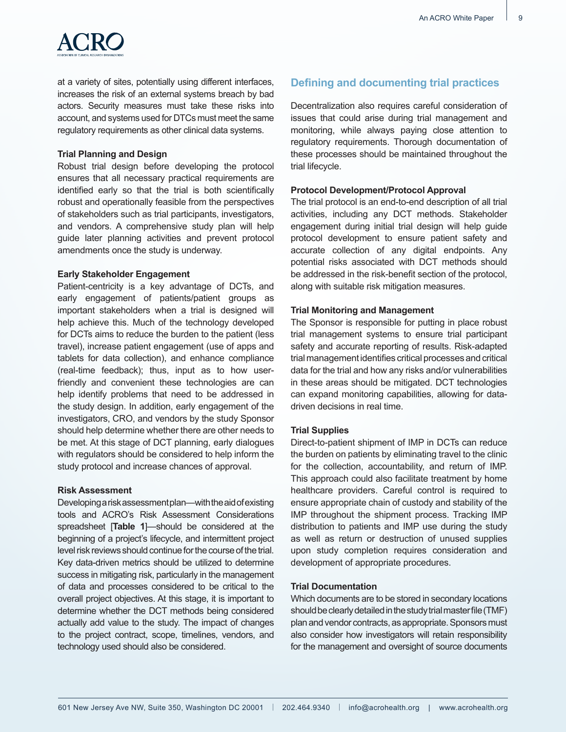

at a variety of sites, potentially using different interfaces, increases the risk of an external systems breach by bad actors. Security measures must take these risks into account, and systems used for DTCs must meet the same regulatory requirements as other clinical data systems.

#### **Trial Planning and Design**

Robust trial design before developing the protocol ensures that all necessary practical requirements are identified early so that the trial is both scientifically robust and operationally feasible from the perspectives of stakeholders such as trial participants, investigators, and vendors. A comprehensive study plan will help guide later planning activities and prevent protocol amendments once the study is underway.

#### **Early Stakeholder Engagement**

Patient-centricity is a key advantage of DCTs, and early engagement of patients/patient groups as important stakeholders when a trial is designed will help achieve this. Much of the technology developed for DCTs aims to reduce the burden to the patient (less travel), increase patient engagement (use of apps and tablets for data collection), and enhance compliance (real-time feedback); thus, input as to how userfriendly and convenient these technologies are can help identify problems that need to be addressed in the study design. In addition, early engagement of the investigators, CRO, and vendors by the study Sponsor should help determine whether there are other needs to be met. At this stage of DCT planning, early dialogues with regulators should be considered to help inform the study protocol and increase chances of approval.

#### **Risk Assessment**

Developing a risk assessment plan—with the aid of existing tools and ACRO's Risk Assessment Considerations spreadsheet [**Table 1**]—should be considered at the beginning of a project's lifecycle, and intermittent project level risk reviews should continue for the course of the trial. Key data-driven metrics should be utilized to determine success in mitigating risk, particularly in the management of data and processes considered to be critical to the overall project objectives. At this stage, it is important to determine whether the DCT methods being considered actually add value to the study. The impact of changes to the project contract, scope, timelines, vendors, and technology used should also be considered.

### **Defining and documenting trial practices**

Decentralization also requires careful consideration of issues that could arise during trial management and monitoring, while always paying close attention to regulatory requirements. Thorough documentation of these processes should be maintained throughout the trial lifecycle.

#### **Protocol Development/Protocol Approval**

The trial protocol is an end-to-end description of all trial activities, including any DCT methods. Stakeholder engagement during initial trial design will help guide protocol development to ensure patient safety and accurate collection of any digital endpoints. Any potential risks associated with DCT methods should be addressed in the risk-benefit section of the protocol, along with suitable risk mitigation measures.

#### **Trial Monitoring and Management**

The Sponsor is responsible for putting in place robust trial management systems to ensure trial participant safety and accurate reporting of results. Risk-adapted trial management identifies critical processes and critical data for the trial and how any risks and/or vulnerabilities in these areas should be mitigated. DCT technologies can expand monitoring capabilities, allowing for datadriven decisions in real time.

#### **Trial Supplies**

Direct-to-patient shipment of IMP in DCTs can reduce the burden on patients by eliminating travel to the clinic for the collection, accountability, and return of IMP. This approach could also facilitate treatment by home healthcare providers. Careful control is required to ensure appropriate chain of custody and stability of the IMP throughout the shipment process. Tracking IMP distribution to patients and IMP use during the study as well as return or destruction of unused supplies upon study completion requires consideration and development of appropriate procedures.

#### **Trial Documentation**

Which documents are to be stored in secondary locations should be clearly detailed in the study trial master file (TMF) plan and vendor contracts, as appropriate. Sponsors must also consider how investigators will retain responsibility for the management and oversight of source documents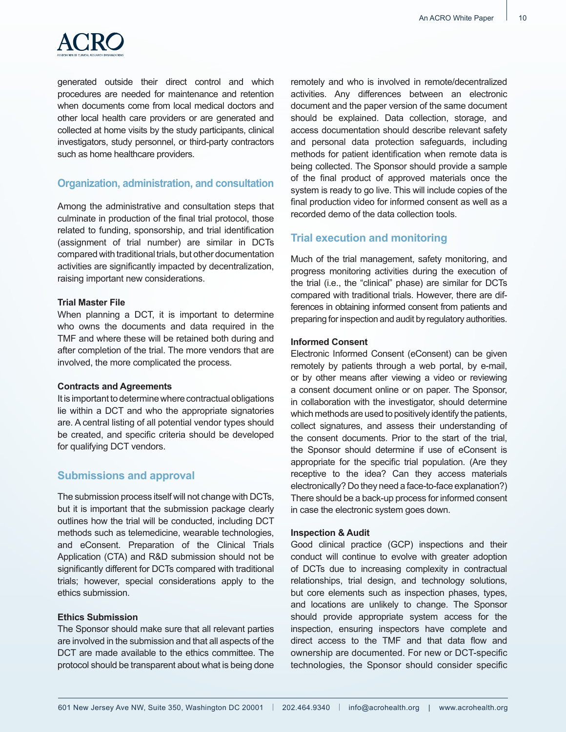

generated outside their direct control and which procedures are needed for maintenance and retention when documents come from local medical doctors and other local health care providers or are generated and collected at home visits by the study participants, clinical investigators, study personnel, or third-party contractors such as home healthcare providers.

### **Organization, administration, and consultation**

Among the administrative and consultation steps that culminate in production of the final trial protocol, those related to funding, sponsorship, and trial identification (assignment of trial number) are similar in DCTs compared with traditional trials, but other documentation activities are significantly impacted by decentralization, raising important new considerations.

#### **Trial Master File**

When planning a DCT, it is important to determine who owns the documents and data required in the TMF and where these will be retained both during and after completion of the trial. The more vendors that are involved, the more complicated the process.

#### **Contracts and Agreements**

It is important to determine where contractual obligations lie within a DCT and who the appropriate signatories are. A central listing of all potential vendor types should be created, and specific criteria should be developed for qualifying DCT vendors.

### **Submissions and approval**

The submission process itself will not change with DCTs, but it is important that the submission package clearly outlines how the trial will be conducted, including DCT methods such as telemedicine, wearable technologies, and eConsent. Preparation of the Clinical Trials Application (CTA) and R&D submission should not be significantly different for DCTs compared with traditional trials; however, special considerations apply to the ethics submission.

#### **Ethics Submission**

The Sponsor should make sure that all relevant parties are involved in the submission and that all aspects of the DCT are made available to the ethics committee. The protocol should be transparent about what is being done remotely and who is involved in remote/decentralized activities. Any differences between an electronic document and the paper version of the same document should be explained. Data collection, storage, and access documentation should describe relevant safety and personal data protection safeguards, including methods for patient identification when remote data is being collected. The Sponsor should provide a sample of the final product of approved materials once the system is ready to go live. This will include copies of the final production video for informed consent as well as a recorded demo of the data collection tools.

# **Trial execution and monitoring**

Much of the trial management, safety monitoring, and progress monitoring activities during the execution of the trial (i.e., the "clinical" phase) are similar for DCTs compared with traditional trials. However, there are differences in obtaining informed consent from patients and preparing for inspection and audit by regulatory authorities.

#### **Informed Consent**

Electronic Informed Consent (eConsent) can be given remotely by patients through a web portal, by e-mail, or by other means after viewing a video or reviewing a consent document online or on paper. The Sponsor, in collaboration with the investigator, should determine which methods are used to positively identify the patients, collect signatures, and assess their understanding of the consent documents. Prior to the start of the trial, the Sponsor should determine if use of eConsent is appropriate for the specific trial population. (Are they receptive to the idea? Can they access materials electronically? Do they need a face-to-face explanation?) There should be a back-up process for informed consent in case the electronic system goes down.

#### **Inspection & Audit**

Good clinical practice (GCP) inspections and their conduct will continue to evolve with greater adoption of DCTs due to increasing complexity in contractual relationships, trial design, and technology solutions, but core elements such as inspection phases, types, and locations are unlikely to change. The Sponsor should provide appropriate system access for the inspection, ensuring inspectors have complete and direct access to the TMF and that data flow and ownership are documented. For new or DCT-specific technologies, the Sponsor should consider specific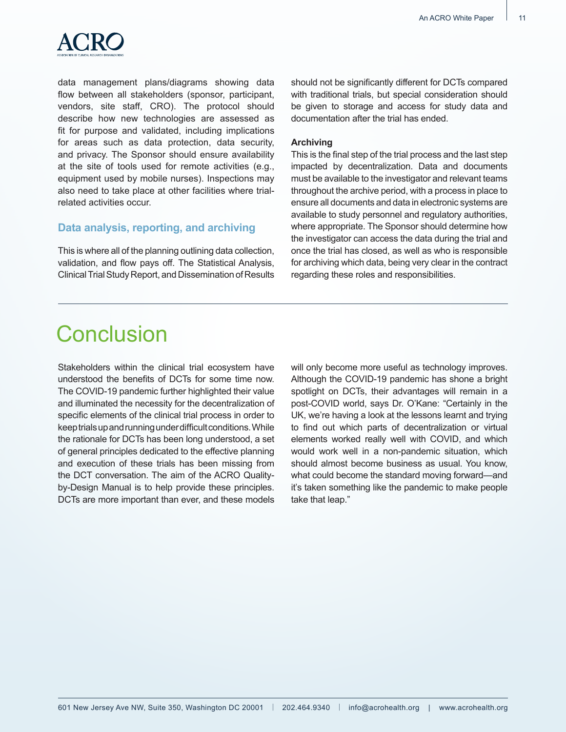

data management plans/diagrams showing data flow between all stakeholders (sponsor, participant, vendors, site staff, CRO). The protocol should describe how new technologies are assessed as fit for purpose and validated, including implications for areas such as data protection, data security, and privacy. The Sponsor should ensure availability at the site of tools used for remote activities (e.g., equipment used by mobile nurses). Inspections may also need to take place at other facilities where trialrelated activities occur.

### **Data analysis, reporting, and archiving**

This is where all of the planning outlining data collection, validation, and flow pays off. The Statistical Analysis, Clinical Trial Study Report, and Dissemination of Results should not be significantly different for DCTs compared with traditional trials, but special consideration should be given to storage and access for study data and documentation after the trial has ended.

#### **Archiving**

This is the final step of the trial process and the last step impacted by decentralization. Data and documents must be available to the investigator and relevant teams throughout the archive period, with a process in place to ensure all documents and data in electronic systems are available to study personnel and regulatory authorities, where appropriate. The Sponsor should determine how the investigator can access the data during the trial and once the trial has closed, as well as who is responsible for archiving which data, being very clear in the contract regarding these roles and responsibilities.

# **Conclusion**

Stakeholders within the clinical trial ecosystem have understood the benefits of DCTs for some time now. The COVID-19 pandemic further highlighted their value and illuminated the necessity for the decentralization of specific elements of the clinical trial process in order to keep trials up and running under difficult conditions. While the rationale for DCTs has been long understood, a set of general principles dedicated to the effective planning and execution of these trials has been missing from the DCT conversation. The aim of the ACRO Qualityby-Design Manual is to help provide these principles. DCTs are more important than ever, and these models

will only become more useful as technology improves. Although the COVID-19 pandemic has shone a bright spotlight on DCTs, their advantages will remain in a post-COVID world, says Dr. O'Kane: "Certainly in the UK, we're having a look at the lessons learnt and trying to find out which parts of decentralization or virtual elements worked really well with COVID, and which would work well in a non-pandemic situation, which should almost become business as usual. You know, what could become the standard moving forward—and it's taken something like the pandemic to make people take that leap."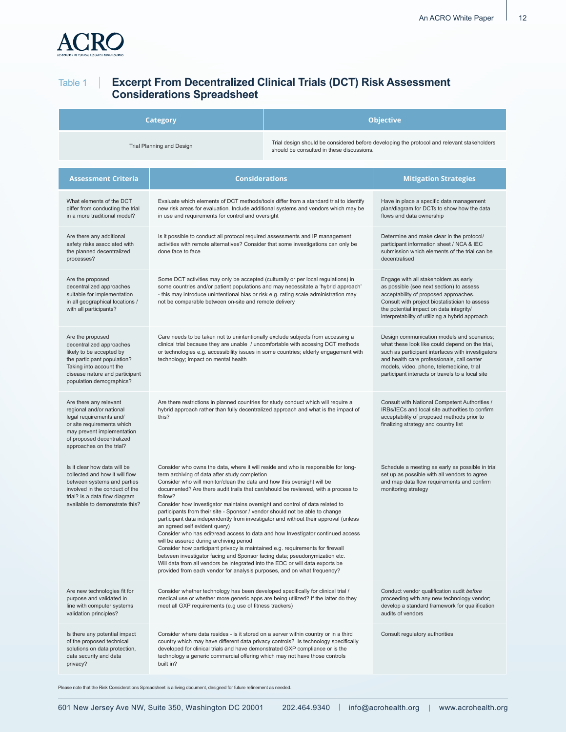

# Table 1 | **Excerpt From Decentralized Clinical Trials (DCT) Risk Assessment Considerations Spreadsheet**

| Category                                                                                                                                                                                           |                                                                                                                                                                                                                                                                                                                                                                                                                                                                                                                                                                                                                                                                                                                                                                                                                                                                                                                                                                                                                                                                | <b>Objective</b>                                                                           |                                                                                                                                                                                                                                                                                                   |  |
|----------------------------------------------------------------------------------------------------------------------------------------------------------------------------------------------------|----------------------------------------------------------------------------------------------------------------------------------------------------------------------------------------------------------------------------------------------------------------------------------------------------------------------------------------------------------------------------------------------------------------------------------------------------------------------------------------------------------------------------------------------------------------------------------------------------------------------------------------------------------------------------------------------------------------------------------------------------------------------------------------------------------------------------------------------------------------------------------------------------------------------------------------------------------------------------------------------------------------------------------------------------------------|--------------------------------------------------------------------------------------------|---------------------------------------------------------------------------------------------------------------------------------------------------------------------------------------------------------------------------------------------------------------------------------------------------|--|
| Trial Planning and Design<br>should be consulted in these discussions.                                                                                                                             |                                                                                                                                                                                                                                                                                                                                                                                                                                                                                                                                                                                                                                                                                                                                                                                                                                                                                                                                                                                                                                                                | Trial design should be considered before developing the protocol and relevant stakeholders |                                                                                                                                                                                                                                                                                                   |  |
| <b>Assessment Criteria</b>                                                                                                                                                                         | <b>Considerations</b>                                                                                                                                                                                                                                                                                                                                                                                                                                                                                                                                                                                                                                                                                                                                                                                                                                                                                                                                                                                                                                          |                                                                                            | <b>Mitigation Strategies</b>                                                                                                                                                                                                                                                                      |  |
| What elements of the DCT<br>differ from conducting the trial<br>in a more traditional model?                                                                                                       | Evaluate which elements of DCT methods/tools differ from a standard trial to identify<br>new risk areas for evaluation. Include additional systems and vendors which may be<br>in use and requirements for control and oversight                                                                                                                                                                                                                                                                                                                                                                                                                                                                                                                                                                                                                                                                                                                                                                                                                               |                                                                                            | Have in place a specific data management<br>plan/diagram for DCTs to show how the data<br>flows and data ownership                                                                                                                                                                                |  |
| Are there any additional<br>safety risks associated with<br>the planned decentralized<br>processes?                                                                                                | Is it possible to conduct all protocol required assessments and IP management<br>activities with remote alternatives? Consider that some investigations can only be<br>done face to face                                                                                                                                                                                                                                                                                                                                                                                                                                                                                                                                                                                                                                                                                                                                                                                                                                                                       |                                                                                            | Determine and make clear in the protocol/<br>participant information sheet / NCA & IEC<br>submission which elements of the trial can be<br>decentralised                                                                                                                                          |  |
| Are the proposed<br>decentralized approaches<br>suitable for implementation<br>in all geographical locations /<br>with all participants?                                                           | Some DCT activities may only be accepted (culturally or per local regulations) in<br>some countries and/or patient populations and may necessitate a 'hybrid approach'<br>- this may introduce unintentional bias or risk e.g. rating scale administration may<br>not be comparable between on-site and remote delivery                                                                                                                                                                                                                                                                                                                                                                                                                                                                                                                                                                                                                                                                                                                                        |                                                                                            | Engage with all stakeholders as early<br>as possible (see next section) to assess<br>acceptability of proposed approaches.<br>Consult with project biostatistician to assess<br>the potential impact on data integrity/<br>interpretability of utilizing a hybrid approach                        |  |
| Are the proposed<br>decentralized approaches<br>likely to be accepted by<br>the participant population?<br>Taking into account the<br>disease nature and participant<br>population demographics?   | Care needs to be taken not to unintentionally exclude subjects from accessing a<br>clinical trial because they are unable / uncomfortable with accesing DCT methods<br>or technologies e.g. accessibility issues in some countries; elderly engagement with<br>technology; impact on mental health                                                                                                                                                                                                                                                                                                                                                                                                                                                                                                                                                                                                                                                                                                                                                             |                                                                                            | Design communication models and scenarios;<br>what these look like could depend on the trial,<br>such as participant interfaces with investigators<br>and health care professionals, call center<br>models, video, phone, telemedicine, trial<br>participant interacts or travels to a local site |  |
| Are there any relevant<br>regional and/or national<br>legal requirements and/<br>or site requirements which<br>may prevent implementation<br>of proposed decentralized<br>approaches on the trial? | Are there restrictions in planned countries for study conduct which will require a<br>hybrid approach rather than fully decentralized approach and what is the impact of<br>this?                                                                                                                                                                                                                                                                                                                                                                                                                                                                                                                                                                                                                                                                                                                                                                                                                                                                              |                                                                                            | Consult with National Competent Authorities /<br>IRBs/IECs and local site authorities to confirm<br>acceptability of proposed methods prior to<br>finalizing strategy and country list                                                                                                            |  |
| Is it clear how data will be<br>collected and how it will flow<br>between systems and parties<br>involved in the conduct of the<br>trial? Is a data flow diagram<br>available to demonstrate this? | Consider who owns the data, where it will reside and who is responsible for long-<br>term archiving of data after study completion<br>Consider who will monitor/clean the data and how this oversight will be<br>documented? Are there audit trails that can/should be reviewed, with a process to<br>follow?<br>Consider how Investigator maintains oversight and control of data related to<br>participants from their site - Sponsor / vendor should not be able to change<br>participant data independently from investigator and without their approval (unless<br>an agreed self evident query)<br>Consider who has edit/read access to data and how Investigator continued access<br>will be assured during archiving period<br>Consider how participant privacy is maintained e.g. requirements for firewall<br>between investigator facing and Sponsor facing data; pseudonymization etc.<br>Will data from all vendors be integrated into the EDC or will data exports be<br>provided from each vendor for analysis purposes, and on what frequency? |                                                                                            | Schedule a meeting as early as possible in trial<br>set up as possible with all vendors to agree<br>and map data flow requirements and confirm<br>monitoring strategy                                                                                                                             |  |
| Are new technologies fit for<br>purpose and validated in<br>line with computer systems<br>validation principles?                                                                                   | Consider whether technology has been developed specifically for clinical trial /<br>medical use or whether more generic apps are being utilized? If the latter do they<br>meet all GXP requirements (e.g use of fitness trackers)                                                                                                                                                                                                                                                                                                                                                                                                                                                                                                                                                                                                                                                                                                                                                                                                                              |                                                                                            | Conduct vendor qualification audit before<br>proceeding with any new technology vendor;<br>develop a standard framework for qualification<br>audits of vendors                                                                                                                                    |  |
| Is there any potential impact<br>of the proposed technical<br>solutions on data protection,<br>data security and data<br>privacy?                                                                  | Consider where data resides - is it stored on a server within country or in a third<br>country which may have different data privacy controls? Is technology specifically<br>developed for clinical trials and have demonstrated GXP compliance or is the<br>technology a generic commercial offering which may not have those controls<br>built in?                                                                                                                                                                                                                                                                                                                                                                                                                                                                                                                                                                                                                                                                                                           |                                                                                            | Consult regulatory authorities                                                                                                                                                                                                                                                                    |  |

Please note that the Risk Considerations Spreadsheet is a living document, designed for future refinement as needed.